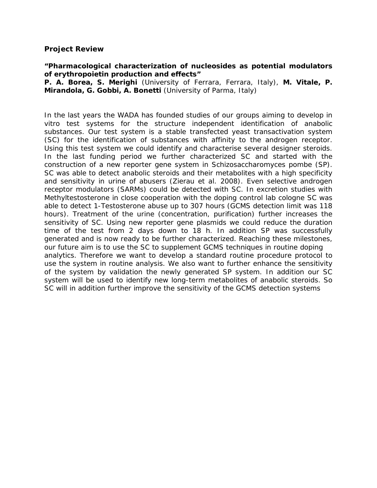## **Project Review**

## **"Pharmacological characterization of nucleosides as potential modulators of erythropoietin production and effects"**

**P. A. Borea, S. Merighi** (University of Ferrara, Ferrara, Italy), **M. Vitale, P. Mirandola, G. Gobbi, A. Bonetti** (University of Parma, Italy)

In the last years the WADA has founded studies of our groups aiming to develop in vitro test systems for the structure independent identification of anabolic substances. Our test system is a stable transfected yeast transactivation system (SC) for the identification of substances with affinity to the androgen receptor. Using this test system we could identify and characterise several designer steroids. In the last funding period we further characterized SC and started with the construction of a new reporter gene system in Schizosaccharomyces pombe (SP). SC was able to detect anabolic steroids and their metabolites with a high specificity and sensitivity in urine of abusers (Zierau et al. 2008). Even selective androgen receptor modulators (SARMs) could be detected with SC. In excretion studies with Methyltestosterone in close cooperation with the doping control lab cologne SC was able to detect 1-Testosterone abuse up to 307 hours (GCMS detection limit was 118 hours). Treatment of the urine (concentration, purification) further increases the sensitivity of SC. Using new reporter gene plasmids we could reduce the duration time of the test from 2 days down to 18 h. In addition SP was successfully generated and is now ready to be further characterized. Reaching these milestones, our future aim is to use the SC to supplement GCMS techniques in routine doping analytics. Therefore we want to develop a standard routine procedure protocol to use the system in routine analysis. We also want to further enhance the sensitivity of the system by validation the newly generated SP system. In addition our SC system will be used to identify new long-term metabolites of anabolic steroids. So SC will in addition further improve the sensitivity of the GCMS detection systems